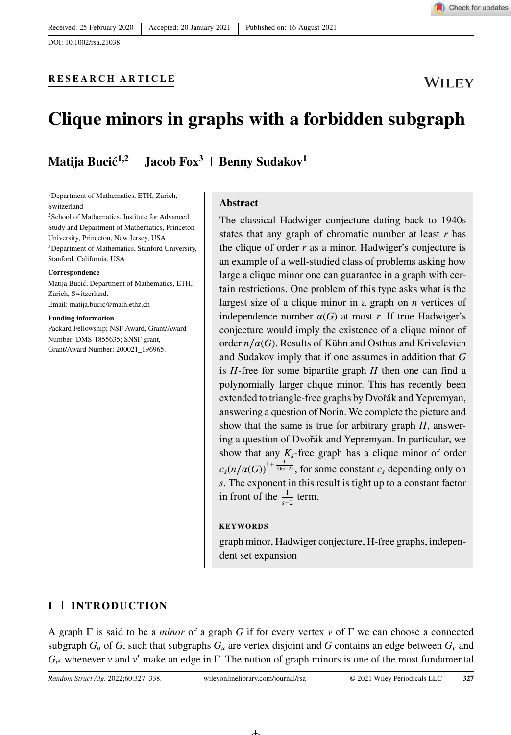DOI: 10.1002/rsa.21038

## **RESEARCH ARTICLE**



# **Clique minors in graphs with a forbidden subgraph**

# **Matija Bucić**<sup>1,2</sup> | **Jacob Fox**<sup>3</sup> | **Benny Sudakov**<sup>1</sup>

<sup>1</sup>Department of Mathematics, ETH, Zürich, Switzerland

2School of Mathematics, Institute for Advanced Study and Department of Mathematics, Princeton University, Princeton, New Jersey, USA 3Department of Mathematics, Stanford University, Stanford, California, USA

#### **Correspondence**

Matija Bucic, Department of Mathematics, ETH, ´ Zürich, Switzerland. Email: matija.bucic@math.ethz.ch

#### **Funding information**

Packard Fellowship; NSF Award, Grant/Award Number: DMS-1855635; SNSF grant, Grant/Award Number: 200021\_196965.

### **Abstract**

The classical Hadwiger conjecture dating back to 1940s states that any graph of chromatic number at least *r* has the clique of order *r* as a minor. Hadwiger's conjecture is an example of a well-studied class of problems asking how large a clique minor one can guarantee in a graph with certain restrictions. One problem of this type asks what is the largest size of a clique minor in a graph on *n* vertices of independence number  $\alpha(G)$  at most *r*. If true Hadwiger's conjecture would imply the existence of a clique minor of order  $n/\alpha(G)$ . Results of Kühn and Osthus and Krivelevich and Sudakov imply that if one assumes in addition that *G* is *H*-free for some bipartite graph *H* then one can find a polynomially larger clique minor. This has recently been extended to triangle-free graphs by Dvořák and Yepremyan, answering a question of Norin. We complete the picture and show that the same is true for arbitrary graph *H*, answering a question of Dvořák and Yepremyan. In particular, we show that any  $K_s$ -free graph has a clique minor of order  $c_s(n/\alpha(G))^{1+\frac{1}{10(s-2)}}$ , for some constant  $c_s$  depending only on *s*. The exponent in this result is tight up to a constant factor in front of the  $\frac{1}{s-2}$  term.

### **KEYWORDS**

graph minor, Hadwiger conjecture, H-free graphs, independent set expansion

### **1 INTRODUCTION**

A graph Γ is said to be a *minor* of a graph *G* if for every vertex *v* of Γ we can choose a connected subgraph  $G_u$  of  $G$ , such that subgraphs  $G_u$  are vertex disjoint and  $G$  contains an edge between  $G_v$  and  $G_{v'}$  whenever *v* and *v'* make an edge in Γ. The notion of graph minors is one of the most fundamental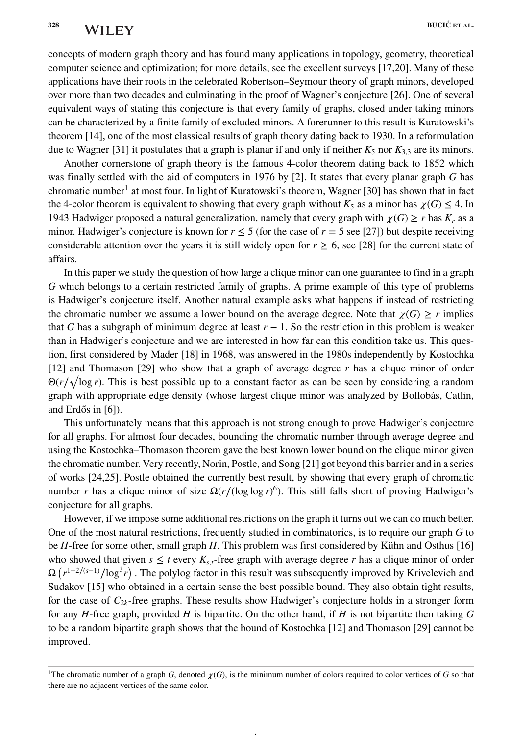concepts of modern graph theory and has found many applications in topology, geometry, theoretical computer science and optimization; for more details, see the excellent surveys [17,20]. Many of these applications have their roots in the celebrated Robertson–Seymour theory of graph minors, developed over more than two decades and culminating in the proof of Wagner's conjecture [26]. One of several equivalent ways of stating this conjecture is that every family of graphs, closed under taking minors can be characterized by a finite family of excluded minors. A forerunner to this result is Kuratowski's theorem [14], one of the most classical results of graph theory dating back to 1930. In a reformulation due to Wagner [31] it postulates that a graph is planar if and only if neither  $K_5$  nor  $K_{3,3}$  are its minors.

Another cornerstone of graph theory is the famous 4-color theorem dating back to 1852 which was finally settled with the aid of computers in 1976 by [2]. It states that every planar graph *G* has chromatic number<sup>[1](#page-1-0)</sup> at most four. In light of Kuratowski's theorem, Wagner [30] has shown that in fact the 4-color theorem is equivalent to showing that every graph without  $K_5$  as a minor has  $\chi(G) \leq 4$ . In 1943 Hadwiger proposed a natural generalization, namely that every graph with  $\chi(G) \geq r$  has  $K_r$  as a minor. Hadwiger's conjecture is known for  $r \le 5$  (for the case of  $r = 5$  see [27]) but despite receiving considerable attention over the years it is still widely open for  $r \ge 6$ , see [28] for the current state of affairs.

In this paper we study the question of how large a clique minor can one guarantee to find in a graph *G* which belongs to a certain restricted family of graphs. A prime example of this type of problems is Hadwiger's conjecture itself. Another natural example asks what happens if instead of restricting the chromatic number we assume a lower bound on the average degree. Note that  $\chi(G) \geq r$  implies that *G* has a subgraph of minimum degree at least  $r - 1$ . So the restriction in this problem is weaker than in Hadwiger's conjecture and we are interested in how far can this condition take us. This question, first considered by Mader [18] in 1968, was answered in the 1980s independently by Kostochka [12] and Thomason [29] who show that a graph of average degree *r* has a clique minor of order  $\Theta(r/\sqrt{\log r})$ . This is best possible up to a constant factor as can be seen by considering a random graph with appropriate edge density (whose largest clique minor was analyzed by Bollobás, Catlin, and Erdős in  $[6]$ ).

This unfortunately means that this approach is not strong enough to prove Hadwiger's conjecture for all graphs. For almost four decades, bounding the chromatic number through average degree and using the Kostochka–Thomason theorem gave the best known lower bound on the clique minor given the chromatic number. Very recently, Norin, Postle, and Song [21] got beyond this barrier and in a series of works [24,25]. Postle obtained the currently best result, by showing that every graph of chromatic number *r* has a clique minor of size Ω(*r*∕(log log *r*) <sup>6</sup>). This still falls short of proving Hadwiger's conjecture for all graphs.

However, if we impose some additional restrictions on the graph it turns out we can do much better. One of the most natural restrictions, frequently studied in combinatorics, is to require our graph *G* to be *H*-free for some other, small graph *H*. This problem was first considered by Kühn and Osthus [16] who showed that given  $s \le t$  every  $K_{s,t}$ -free graph with average degree r has a clique minor of order  $Ω(r^{1+2/(s-1)}/log<sup>3</sup>r)$ . The polylog factor in this result was subsequently improved by Krivelevich and Sudakov [15] who obtained in a certain sense the best possible bound. They also obtain tight results, for the case of  $C_{2k}$ -free graphs. These results show Hadwiger's conjecture holds in a stronger form for any *H*-free graph, provided *H* is bipartite. On the other hand, if *H* is not bipartite then taking *G* to be a random bipartite graph shows that the bound of Kostochka [12] and Thomason [29] cannot be improved.

<span id="page-1-0"></span><sup>&</sup>lt;sup>1</sup>The chromatic number of a graph *G*, denoted  $\chi(G)$ , is the minimum number of colors required to color vertices of *G* so that there are no adjacent vertices of the same color.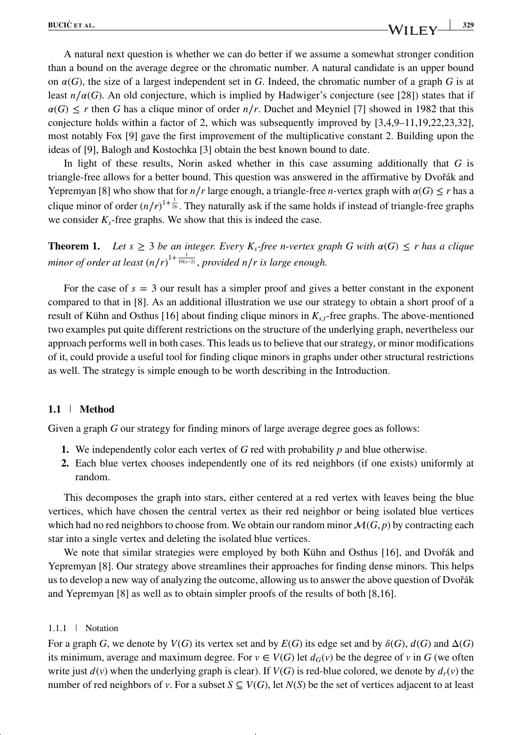A natural next question is whether we can do better if we assume a somewhat stronger condition than a bound on the average degree or the chromatic number. A natural candidate is an upper bound on  $\alpha(G)$ , the size of a largest independent set in *G*. Indeed, the chromatic number of a graph *G* is at least  $n/\alpha(G)$ . An old conjecture, which is implied by Hadwiger's conjecture (see [28]) states that if  $\alpha(G) \leq r$  then *G* has a clique minor of order *n*/*r*. Duchet and Meyniel [7] showed in 1982 that this conjecture holds within a factor of 2, which was subsequently improved by [3,4,9–11,19,22,23,32], most notably Fox [9] gave the first improvement of the multiplicative constant 2. Building upon the ideas of [9], Balogh and Kostochka [3] obtain the best known bound to date.

In light of these results, Norin asked whether in this case assuming additionally that *G* is triangle-free allows for a better bound. This question was answered in the affirmative by Dvorák and *̌* Yepremyan [8] who show that for  $n/r$  large enough, a triangle-free *n*-vertex graph with  $\alpha(G) \leq r$  has a clique minor of order  $(n/r)^{1+\frac{1}{26}}$ . They naturally ask if the same holds if instead of triangle-free graphs we consider  $K_s$ -free graphs. We show that this is indeed the case.

**Theorem 1.** Let  $s \geq 3$  be an integer. Every  $K_s$ -free n-vertex graph G with  $\alpha(G) \leq r$  has a clique minor of order at least (n/r)<sup>1+  $\frac{1}{10(s-2)}$ </sup>, provided n/*r* is large enough.

For the case of  $s = 3$  our result has a simpler proof and gives a better constant in the exponent compared to that in [8]. As an additional illustration we use our strategy to obtain a short proof of a result of Kühn and Osthus [16] about finding clique minors in  $K_{s,t}$ -free graphs. The above-mentioned two examples put quite different restrictions on the structure of the underlying graph, nevertheless our approach performs well in both cases. This leads us to believe that our strategy, or minor modifications of it, could provide a useful tool for finding clique minors in graphs under other structural restrictions as well. The strategy is simple enough to be worth describing in the Introduction.

### **1.1 Method**

Given a graph *G* our strategy for finding minors of large average degree goes as follows:

- **1.** We independently color each vertex of *G* red with probability *p* and blue otherwise.
- **2.** Each blue vertex chooses independently one of its red neighbors (if one exists) uniformly at random.

This decomposes the graph into stars, either centered at a red vertex with leaves being the blue vertices, which have chosen the central vertex as their red neighbor or being isolated blue vertices which had no red neighbors to choose from. We obtain our random minor  $\mathcal{M}(G, p)$  by contracting each star into a single vertex and deleting the isolated blue vertices.

We note that similar strategies were employed by both Kühn and Osthus [16], and Dvořák and Yepremyan [8]. Our strategy above streamlines their approaches for finding dense minors. This helps us to develop a new way of analyzing the outcome, allowing us to answer the above question of Dvorák *̌* and Yepremyan [8] as well as to obtain simpler proofs of the results of both [8,16].

### 1.1.1 Notation

For a graph *G*, we denote by  $V(G)$  its vertex set and by  $E(G)$  its edge set and by  $\delta(G)$ ,  $d(G)$  and  $\Delta(G)$ its minimum, average and maximum degree. For  $v \in V(G)$  let  $d_G(v)$  be the degree of v in G (we often write just  $d(v)$  when the underlying graph is clear). If  $V(G)$  is red-blue colored, we denote by  $d_r(v)$  the number of red neighbors of *v*. For a subset  $S \subseteq V(G)$ , let  $N(S)$  be the set of vertices adjacent to at least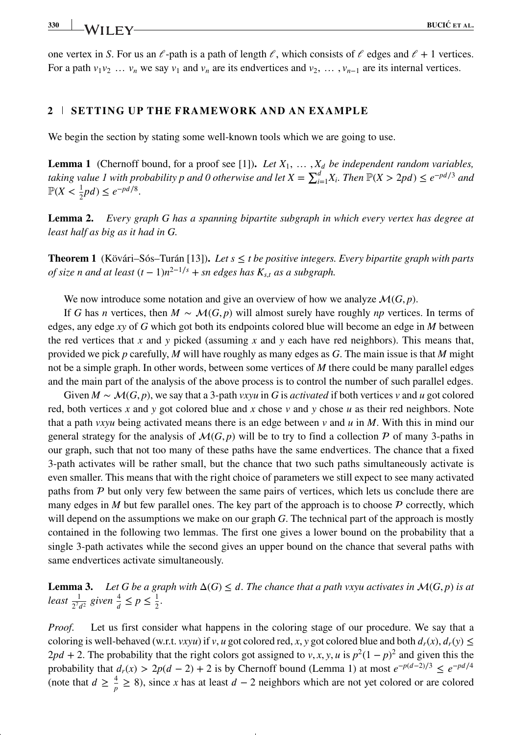one vertex in *S*. For us an  $\ell$ -path is a path of length  $\ell$ , which consists of  $\ell$  edges and  $\ell + 1$  vertices. For a path  $v_1v_2$  …  $v_n$  we say  $v_1$  and  $v_n$  are its endvertices and  $v_2$ , …,  $v_{n-1}$  are its internal vertices.

### **2 SETTING UP THE FRAMEWORK AND AN EXAMPLE**

We begin the section by stating some well-known tools which we are going to use.

**Lemma 1** (Chernoff bound, for a proof see [1])**.** *Let X*1*,* … *, X be independent random variables, taking value 1 with probability p and 0 otherwise and let*  $X = \sum_{i=1}^{d} X_i$ *. Then*  $\mathbb{P}(X > 2pd) \le e^{-pd/3}$  *and*  $\mathbb{P}(X < \frac{1}{2}pd) \leq e^{-pd/8}.$ 

**Lemma 2.** *Every graph G has a spanning bipartite subgraph in which every vertex has degree at least half as big as it had in G.*

**Theorem 1** (Kövári–Sós–Turán [13]). Let  $s \leq t$  be positive integers. Every bipartite graph with parts *of size n and at least*  $(t-1)n^{2-1/s}$  + *sn edges has*  $K_{s,t}$  *as a subgraph.* 

We now introduce some notation and give an overview of how we analyze  $\mathcal{M}(G, p)$ .

If *G* has *n* vertices, then  $M \sim \mathcal{M}(G, p)$  will almost surely have roughly *np* vertices. In terms of edges, any edge *xy* of *G* which got both its endpoints colored blue will become an edge in *M* between the red vertices that *x* and *y* picked (assuming *x* and *y* each have red neighbors). This means that, provided we pick *p* carefully, *M* will have roughly as many edges as *G*. The main issue is that *M* might not be a simple graph. In other words, between some vertices of *M* there could be many parallel edges and the main part of the analysis of the above process is to control the number of such parallel edges.

Given  $M \sim \mathcal{M}(G, p)$ , we say that a 3-path *vxyu* in G is *activated* if both vertices *v* and *u* got colored red, both vertices *x* and *y* got colored blue and *x* chose *v* and *y* chose *u* as their red neighbors. Note that a path *vxyu* being activated means there is an edge between *v* and *u* in *M*. With this in mind our general strategy for the analysis of  $\mathcal{M}(G, p)$  will be to try to find a collection P of many 3-paths in our graph, such that not too many of these paths have the same endvertices. The chance that a fixed 3-path activates will be rather small, but the chance that two such paths simultaneously activate is even smaller. This means that with the right choice of parameters we still expect to see many activated paths from  $P$  but only very few between the same pairs of vertices, which lets us conclude there are many edges in *M* but few parallel ones. The key part of the approach is to choose  $P$  correctly, which will depend on the assumptions we make on our graph *G*. The technical part of the approach is mostly contained in the following two lemmas. The first one gives a lower bound on the probability that a single 3-path activates while the second gives an upper bound on the chance that several paths with same endvertices activate simultaneously.

**Lemma 3.** Let G be a graph with  $\Delta(G) \leq d$ . The chance that a path vxyu activates in  $\mathcal{M}(G, p)$  is at *least*  $\frac{1}{2^7 d^2}$  given  $\frac{4}{d} \leq p \leq \frac{1}{2}$ .

*Proof.* Let us first consider what happens in the coloring stage of our procedure. We say that a coloring is well-behaved (w.r.t. *vxyu*) if *v*, *u* got colored red, *x*, *y* got colored blue and both  $d_r(x)$ ,  $d_r(y) \le$  $2pd + 2$ . The probability that the right colors got assigned to *v*, *x*, *y*, *u* is  $p^2(1-p)^2$  and given this the probability that  $d_r(x) > 2p(d-2) + 2$  is by Chernoff bound (Lemma 1) at most  $e^{-p(d-2)/3} \le e^{-pd/4}$ (note that  $d \ge \frac{4}{p} \ge 8$ ), since *x* has at least  $d - 2$  neighbors which are not yet colored or are colored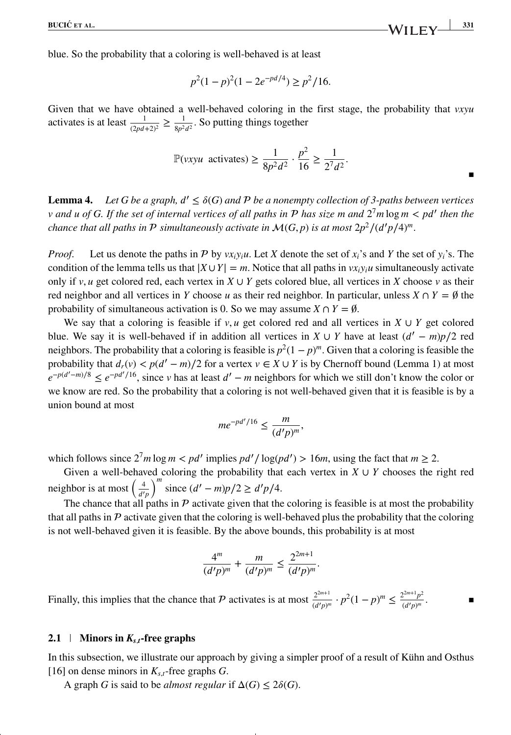blue. So the probability that a coloring is well-behaved is at least

$$
p^2(1-p)^2(1-2e^{-pd/4}) \ge p^2/16.
$$

Given that we have obtained a well-behaved coloring in the first stage, the probability that *vxyu* activates is at least  $\frac{1}{(2pd+2)^2} \ge \frac{1}{8p^2d^2}$ . So putting things together

$$
\mathbb{P}(vxyu \text{ activates}) \ge \frac{1}{8p^2d^2} \cdot \frac{p^2}{16} \ge \frac{1}{2^7d^2}.
$$

**Lemma 4.** Let G be a graph,  $d' \leq \delta(G)$  and P be a nonempty collection of 3-paths between vertices *v and u of G. If the set of internal vertices of all paths in has size m and* 2<sup>7</sup> *m* log *m < p*′ *then the chance that all paths in*  $P$  *simultaneously activate in*  $\mathcal{M}(G, p)$  *is at most*  $2p^2/(d'p/4)^m$ .

*Proof.* Let us denote the paths in P by  $vx_iy_iu$ . Let X denote the set of  $x_i$ 's and Y the set of  $y_i$ 's. The condition of the lemma tells us that  $|X \cup Y| = m$ . Notice that all paths in  $vx_iy_iu$  simultaneously activate only if  $v, u$  get colored red, each vertex in  $X \cup Y$  gets colored blue, all vertices in  $X$  choose  $v$  as their red neighbor and all vertices in *Y* choose *u* as their red neighbor. In particular, unless  $X \cap Y = \emptyset$  the probability of simultaneous activation is 0. So we may assume  $X \cap Y = \emptyset$ .

We say that a coloring is feasible if  $v, u$  get colored red and all vertices in  $X \cup Y$  get colored blue. We say it is well-behaved if in addition all vertices in  $X \cup Y$  have at least  $(d' - m)p/2$  red neighbors. The probability that a coloring is feasible is  $p^2(1-p)^m$ . Given that a coloring is feasible the probability that  $d_r(v) < p(d' - m)/2$  for a vertex  $v \in X \cup Y$  is by Chernoff bound (Lemma 1) at most  $e^{-p(d'-m)/8} \leq e^{-pd'/16}$ , since *v* has at least  $d'-m$  neighbors for which we still don't know the color or we know are red. So the probability that a coloring is not well-behaved given that it is feasible is by a union bound at most

$$
me^{-pd'/16} \le \frac{m}{(d'p)^m},
$$

which follows since  $2^7 m \log m < pd'$  implies  $pd'/\log (pd') > 16m$ , using the fact that  $m \geq 2$ .

Given a well-behaved coloring the probability that each vertex in  $X \cup Y$  chooses the right red neighbor is at most  $\left(\frac{4}{d'p}\right)$  $\int_{0}^{m}$  since  $(d' - m)p/2 \ge d'p/4$ .

The chance that all paths in  $P$  activate given that the coloring is feasible is at most the probability that all paths in  $P$  activate given that the coloring is well-behaved plus the probability that the coloring is not well-behaved given it is feasible. By the above bounds, this probability is at most

$$
\frac{4^m}{(d'p)^m} + \frac{m}{(d'p)^m} \le \frac{2^{2m+1}}{(d'p)^m}.
$$

Finally, this implies that the chance that  $\mathcal P$  activates is at most  $\frac{2^{2m+1}}{(d'p)^m} \cdot p^2(1-p)^m \leq \frac{2^{2m+1}p^2}{(d'p)^m}$ .

### **2.1 Minors in**  $K_{s,t}$ **-free graphs**

In this subsection, we illustrate our approach by giving a simpler proof of a result of Kühn and Osthus [16] on dense minors in  $K<sub>s,t</sub>$ -free graphs *G*.

A graph *G* is said to be *almost regular* if  $\Delta(G) \leq 2\delta(G)$ .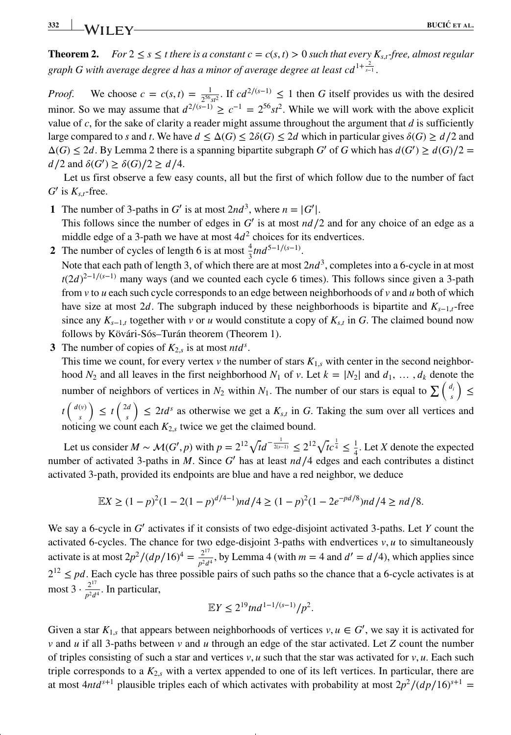**Theorem 2.** *For*  $2 \le s \le t$  *there is a constant c* =  $c(s, t) > 0$  *such that every*  $K_{s,t}$ *-free, almost regular* graph G with average degree d has a minor of average degree at least cd<sup>1+ $\frac{2}{s-1}$ </sup>.

*Proof.* We choose  $c = c(s, t) = \frac{1}{2^{56} s t^2}$ . If  $cd^{2/(s-1)} \le 1$  then *G* itself provides us with the desired minor. So we may assume that  $d^{2/(s-1)} \ge c^{-1} = 2^{56} st^2$ . While we will work with the above explicit value of *c*, for the sake of clarity a reader might assume throughout the argument that *d* is sufficiently large compared to *s* and *t*. We have  $d \leq \Delta(G) \leq 2\delta(G) \leq 2d$  which in particular gives  $\delta(G) \geq d/2$  and  $\Delta(G) \leq 2d$ . By Lemma 2 there is a spanning bipartite subgraph *G'* of *G* which has  $d(G') \geq d(G)/2$  $d/2$  and  $\delta(G')$  ≥  $\delta(G)/2$  ≥  $d/4$ .

Let us first observe a few easy counts, all but the first of which follow due to the number of fact  $G'$  is  $K_{s,t}$ -free.

**1** The number of 3-paths in *G*<sup> $\prime$ </sup> is at most  $2nd^3$ , where  $n = |G^{\prime}|$ .

This follows since the number of edges in *G*′ is at most *n*∕2 and for any choice of an edge as a middle edge of a 3-path we have at most  $4d<sup>2</sup>$  choices for its endvertices.

2 The number of cycles of length 6 is at most  $\frac{4}{3}$ tnd<sup>5−1/(*s*−1)</sup>.

Note that each path of length 3, of which there are at most  $2nd^3$ , completes into a 6-cycle in at most *t*(2*d*)<sup>2-1/(*s*-1)</sup> many ways (and we counted each cycle 6 times). This follows since given a 3-path from *v* to *u* each such cycle corresponds to an edge between neighborhoods of *v* and *u* both of which have size at most 2*d*. The subgraph induced by these neighborhoods is bipartite and  $K_{s-1,t}$ -free since any  $K_{s-1,t}$  together with *v* or *u* would constitute a copy of  $K_{s,t}$  in G. The claimed bound now follows by Kövári-Sós–Turán theorem (Theorem 1).

**3** The number of copies of  $K_{2,s}$  is at most *ntd<sup>s</sup>*.

This time we count, for every vertex  $v$  the number of stars  $K_{1,s}$  with center in the second neighborhood  $N_2$  and all leaves in the first neighborhood  $N_1$  of *v*. Let  $k = |N_2|$  and  $d_1, \ldots, d_k$  denote the number of neighbors of vertices in  $N_2$  within  $N_1$ . The number of our stars is equal to  $\sum_{s} \left( \frac{d_i}{s} \right)$ ) ≤  $t\left(\begin{array}{c} d(v) \\ s \end{array}\right)$ *s*  $\Big) \leq t \Big( \frac{2d}{a} \Big)$ *s*  $\left( \int \right) \leq 2td^s$  as otherwise we get a  $K_{s,t}$  in G. Taking the sum over all vertices and noticing we count each *K*2*,<sup>s</sup>* twice we get the claimed bound.

Let us consider  $M \sim \mathcal{M}(G', p)$  with  $p = 2^{12} \sqrt{t} d^{-\frac{1}{2(s-1)}} \leq 2^{12} \sqrt{t} c^{\frac{1}{4}} \leq \frac{1}{4}$ . Let *X* denote the expected number of activated 3-paths in *M*. Since *G*<sup> $\prime$ </sup> has at least *nd* /4 edges and each contributes a distinct activated 3-path, provided its endpoints are blue and have a red neighbor, we deduce

$$
\mathbb{E}X \ge (1-p)^2(1-2(1-p)^{d/4-1})nd/4 \ge (1-p)^2(1-2e^{-pd/8})nd/4 \ge nd/8.
$$

We say a 6-cycle in *G*′ activates if it consists of two edge-disjoint activated 3-paths. Let *Y* count the activated 6-cycles. The chance for two edge-disjoint 3-paths with endvertices *v, u* to simultaneously activate is at most  $2p^2/(dp/16)^4 = \frac{2^{17}}{p^2d^4}$ , by Lemma 4 (with  $m = 4$  and  $d' = d/4$ ), which applies since  $2^{12} \leq pd$ . Each cycle has three possible pairs of such paths so the chance that a 6-cycle activates is at most 3  $\cdot \frac{2^{17}}{p^2 d^4}$ . In particular,

$$
\mathbb{E}Y \le 2^{19} \t{t}nd^{1-1/(s-1)}/p^2.
$$

Given a star  $K_{1,s}$  that appears between neighborhoods of vertices  $v, u \in G'$ , we say it is activated for *v* and *u* if all 3-paths between *v* and *u* through an edge of the star activated. Let *Z* count the number of triples consisting of such a star and vertices  $v, u$  such that the star was activated for  $v, u$ . Each such triple corresponds to a  $K_2$ <sup>*s*</sup> with a vertex appended to one of its left vertices. In particular, there are at most  $4ntd^{s+1}$  plausible triples each of which activates with probability at most  $2p^2/(dp/16)^{s+1}$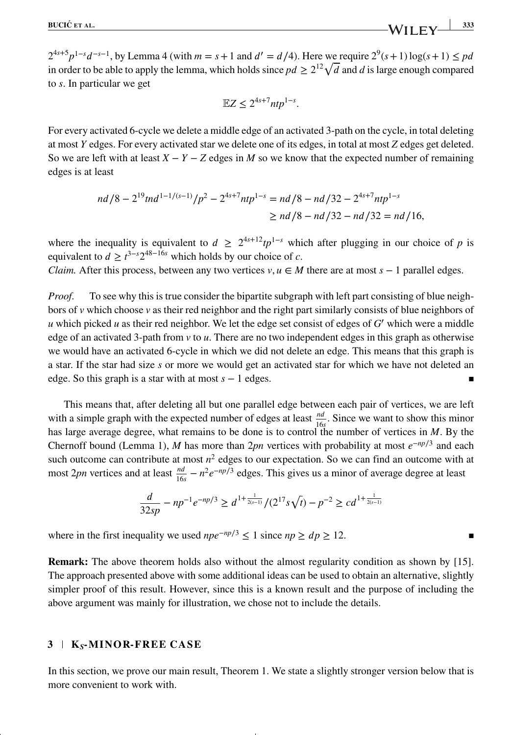$2^{4s+5}p^{1-s}d^{-s-1}$ , by Lemma 4 (with  $m = s + 1$  and  $d' = d/4$ ). Here we require  $2^9(s+1) \log(s+1) \leq pd$ in order to be able to apply the lemma, which holds since  $pd \geq 2^{12} \sqrt{d}$  and *d* is large enough compared to *s*. In particular we get

$$
\mathbb{E}Z \le 2^{4s+7} ntp^{1-s}.
$$

For every activated 6-cycle we delete a middle edge of an activated 3-path on the cycle, in total deleting at most *Y* edges. For every activated star we delete one of its edges, in total at most *Z* edges get deleted. So we are left with at least  $X - Y - Z$  edges in *M* so we know that the expected number of remaining edges is at least

$$
nd/8 - 2^{19}tnd^{1-1/(s-1)}/p^2 - 2^{4s+7}ntp^{1-s} = nd/8 - nd/32 - 2^{4s+7}ntp^{1-s}
$$
  
\n
$$
\ge nd/8 - nd/32 - nd/32 = nd/16,
$$

where the inequality is equivalent to  $d \geq 2^{4s+12}tp^{1-s}$  which after plugging in our choice of *p* is equivalent to  $d \ge t^{3-s} 2^{48-16s}$  which holds by our choice of *c*.

*Claim.* After this process, between any two vertices  $v, u \in M$  there are at most  $s - 1$  parallel edges.

*Proof.* To see why this is true consider the bipartite subgraph with left part consisting of blue neighbors of  $\nu$  which choose  $\nu$  as their red neighbor and the right part similarly consists of blue neighbors of *u* which picked *u* as their red neighbor. We let the edge set consist of edges of  $G'$  which were a middle edge of an activated 3-path from *v* to *u*. There are no two independent edges in this graph as otherwise we would have an activated 6-cycle in which we did not delete an edge. This means that this graph is a star. If the star had size *s* or more we would get an activated star for which we have not deleted an edge. So this graph is a star with at most  $s - 1$  edges.

This means that, after deleting all but one parallel edge between each pair of vertices, we are left with a simple graph with the expected number of edges at least  $\frac{nd}{16s}$ . Since we want to show this minor has large average degree, what remains to be done is to control the number of vertices in *M*. By the Chernoff bound (Lemma 1), *M* has more than 2*pn* vertices with probability at most *e*<sup>−</sup>*np*∕<sup>3</sup> and each such outcome can contribute at most  $n^2$  edges to our expectation. So we can find an outcome with at most 2*pn* vertices and at least  $\frac{nd}{16s} - n^2 e^{-np/3}$  edges. This gives us a minor of average degree at least

$$
\frac{d}{32sp} - np^{-1}e^{-np/3} \ge d^{1 + \frac{1}{2(s-1)}}/(2^{17}s\sqrt{t}) - p^{-2} \ge cd^{1 + \frac{1}{2(s-1)}}
$$

where in the first inequality we used  $npe^{-np/3} \le 1$  since  $np \ge dp \ge 12$ .

**Remark:** The above theorem holds also without the almost regularity condition as shown by [15]. The approach presented above with some additional ideas can be used to obtain an alternative, slightly simpler proof of this result. However, since this is a known result and the purpose of including the above argument was mainly for illustration, we chose not to include the details.

### **3 K***S***-M INOR-FREE CASE**

In this section, we prove our main result, Theorem 1. We state a slightly stronger version below that is more convenient to work with.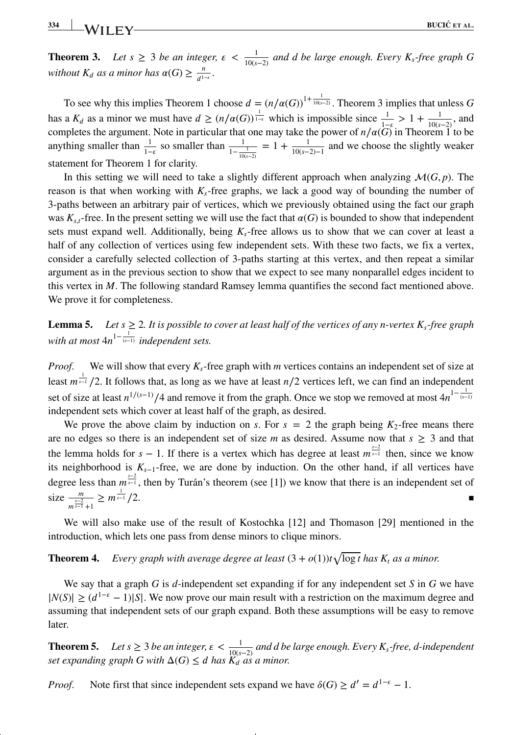**Theorem 3.** *Let*  $s \geq 3$  *be an integer,*  $\epsilon < \frac{1}{10(s-2)}$  *and d be large enough. Every*  $K_s$ -free graph G *without*  $K_d$  *as a minor has*  $\alpha(G) \ge \frac{n}{d^{1-\epsilon}}$ .

To see why this implies Theorem 1 choose  $d = (n/\alpha(G))^{1 + \frac{1}{10(s-2)}}$ . Theorem 3 implies that unless *G* has a *K<sub>d</sub>* as a minor we must have  $d \geq (n/\alpha(G))^{\frac{1}{1-\epsilon}}$  which is impossible since  $\frac{1}{1-\epsilon} > 1 + \frac{1}{10(s-2)}$ , and completes the argument. Note in particular that one may take the power of  $n/\alpha(G)$  in Theorem 1 to be anything smaller than  $\frac{1}{1-\epsilon}$  so smaller than  $\frac{1}{1-\frac{1}{10(s-2)}} = 1 + \frac{1}{10(s-2)-1}$  and we choose the slightly weaker statement for Theorem 1 for clarity.

In this setting we will need to take a slightly different approach when analyzing  $\mathcal{M}(G, p)$ . The reason is that when working with *Ks*-free graphs, we lack a good way of bounding the number of 3-paths between an arbitrary pair of vertices, which we previously obtained using the fact our graph was  $K_{s,t}$ -free. In the present setting we will use the fact that  $\alpha(G)$  is bounded to show that independent sets must expand well. Additionally, being *Ks*-free allows us to show that we can cover at least a half of any collection of vertices using few independent sets. With these two facts, we fix a vertex, consider a carefully selected collection of 3-paths starting at this vertex, and then repeat a similar argument as in the previous section to show that we expect to see many nonparallel edges incident to this vertex in *M*. The following standard Ramsey lemma quantifies the second fact mentioned above. We prove it for completeness.

**Lemma 5.** *Let s*  $\geq$  2*. It is possible to cover at least half of the vertices of any n-vertex K<sub>s</sub>-free graph*  $with$  at most  $4n^{1-\frac{1}{(s-1)}}$  *independent sets.* 

*Proof.* We will show that every  $K_s$ -free graph with *m* vertices contains an independent set of size at least  $m \frac{1}{s-1}$  /2. It follows that, as long as we have at least *n*/2 vertices left, we can find an independent set of size at least  $n^{1/(s-1)}/4$  and remove it from the graph. Once we stop we removed at most  $4n^{1-\frac{1}{(s-1)}}$ independent sets which cover at least half of the graph, as desired.

We prove the above claim by induction on *s*. For  $s = 2$  the graph being  $K_2$ -free means there are no edges so there is an independent set of size *m* as desired. Assume now that  $s \geq 3$  and that the lemma holds for  $s - 1$ . If there is a vertex which has degree at least  $m^{\frac{s-2}{s-1}}$  then, since we know its neighborhood is  $K_{s-1}$ -free, we are done by induction. On the other hand, if all vertices have degree less than  $m^{\frac{s-2}{s-1}}$ , then by Turán's theorem (see [1]) we know that there is an independent set of size  $\frac{m}{m^{\frac{s-2}{s-1}}+1} \geq m^{\frac{1}{s-1}}$ **s**−1 /2.

We will also make use of the result of Kostochka [12] and Thomason [29] mentioned in the introduction, which lets one pass from dense minors to clique minors.

# **Theorem 4.** *Every graph with average degree at least*  $(3 + o(1))t\sqrt{\log t}$  *has*  $K_t$  *as a minor.*

We say that a graph *G* is *d*-independent set expanding if for any independent set *S* in *G* we have  $|N(S)| \geq (d^{1-\epsilon}-1)|S|$ . We now prove our main result with a restriction on the maximum degree and assuming that independent sets of our graph expand. Both these assumptions will be easy to remove later.

**Theorem 5.** Let  $s \geq 3$  be an integer,  $\epsilon < \frac{1}{10(s-2)}$  and d be large enough. Every  $K_s$ -free, d-independent *set expanding graph G with*  $\Delta(G) \leq d$  *has*  $\widetilde{K}_d$  *as a minor.* 

*Proof.* Note first that since independent sets expand we have  $\delta(G) \ge d' = d^{1-\epsilon} - 1$ .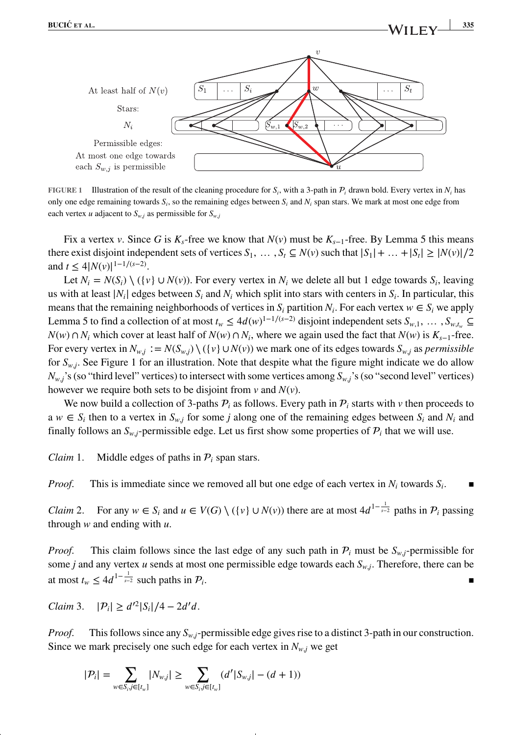

**FIGURE 1** Illustration of the result of the cleaning procedure for  $S_i$ , with a 3-path in  $P_i$  drawn bold. Every vertex in  $N_i$  has only one edge remaining towards  $S_i$ , so the remaining edges between  $S_i$  and  $N_i$  span stars. We mark at most one edge from each vertex *u* adjacent to  $S_{w,j}$  as permissible for  $S_{w,j}$ 

Fix a vertex *v*. Since *G* is  $K_s$ -free we know that  $N(v)$  must be  $K_{s-1}$ -free. By Lemma 5 this means there exist disjoint independent sets of vertices  $S_1, \ldots, S_t \subseteq N(v)$  such that  $|S_1| + \ldots + |S_t| \ge |N(v)|/2$ and  $t \leq 4|N(v)|^{1-1/(s-2)}$ .

Let  $N_i = N(S_i) \setminus (\{v\} \cup N(v))$ . For every vertex in  $N_i$  we delete all but 1 edge towards  $S_i$ , leaving us with at least  $|N_i|$  edges between  $S_i$  and  $N_i$  which split into stars with centers in  $S_i$ . In particular, this means that the remaining neighborhoods of vertices in  $S_i$  partition  $N_i$ . For each vertex  $w \in S_i$  we apply Lemma 5 to find a collection of at most  $t_w \leq 4d(w)^{1-1/(s-2)}$  disjoint independent sets  $S_{w,1}, \ldots, S_{w,t_w} \subseteq$ *N*(*w*) ∩ *N<sub>i</sub>* which cover at least half of *N*(*w*) ∩ *N<sub>i</sub>*, where we again used the fact that *N*(*w*) is *K<sub>s−1</sub>*-free. For every vertex in  $N_{w,j} := N(S_{w,j}) \setminus (\{v\} \cup N(v))$  we mark one of its edges towards  $S_{w,j}$  as *permissible* for  $S_{w,i}$ . See Figure 1 for an illustration. Note that despite what the figure might indicate we do allow  $N_{w,i}$ 's (so "third level" vertices) to intersect with some vertices among  $S_{w,i}$ 's (so "second level" vertices) however we require both sets to be disjoint from *v* and *N*(*v*).

We now build a collection of 3-paths  $P_i$  as follows. Every path in  $P_i$  starts with  $\nu$  then proceeds to  $a w \in S_i$  then to a vertex in  $S_w$ *j* for some *j* along one of the remaining edges between  $S_i$  and  $N_i$  and finally follows an  $S_{w,i}$ -permissible edge. Let us first show some properties of  $P_i$  that we will use.

*Claim* 1. Middle edges of paths in  $P_i$  span stars.

*Proof.* This is immediate since we removed all but one edge of each vertex in  $N_i$  towards  $S_i$ .

*Claim* 2. For any  $w \in S_i$  and  $u \in V(G) \setminus (\{v\} \cup N(v))$  there are at most  $4d^{1-\frac{1}{s-2}}$  paths in  $\mathcal{P}_i$  passing through *w* and ending with *u*.

*Proof.* This claim follows since the last edge of any such path in  $P_i$  must be  $S_{w,i}$ -permissible for some *j* and any vertex *u* sends at most one permissible edge towards each  $S_{w,j}$ . Therefore, there can be at most  $t_w \leq 4d^{-\frac{1}{s-2}}$  such paths in  $\mathcal{P}_i$ . ■

*Claim* 3.  $|P_i| \ge d'^2 |S_i|/4 - 2d'd$ .

*Proof.* This follows since any  $S_{w,i}$ -permissible edge gives rise to a distinct 3-path in our construction. Since we mark precisely one such edge for each vertex in  $N_{w,i}$  we get

$$
|\mathcal{P}_i| = \sum_{w \in S_i, j \in [t_w]} |N_{w,j}| \geq \sum_{w \in S_i, j \in [t_w]} (d' |S_{w,j}| - (d+1))
$$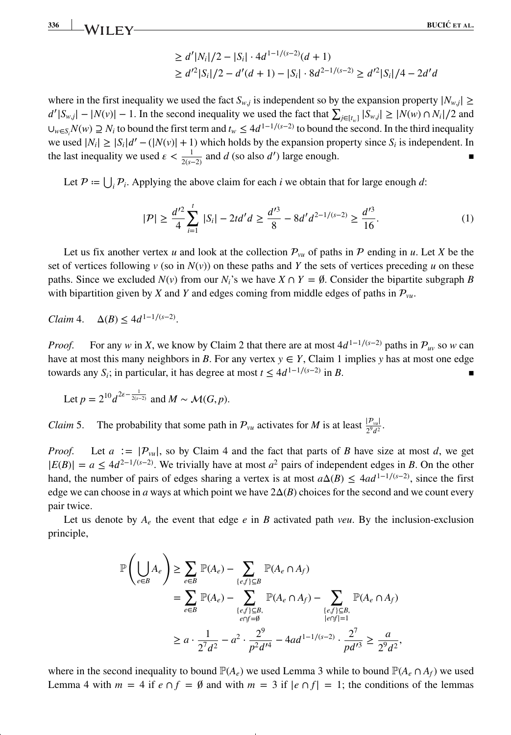**336 BUCIC´ ET AL.**

$$
\geq d' |N_i|/2 - |S_i| \cdot 4d^{1-1/(s-2)}(d+1)
$$
  
\n
$$
\geq d'^2 |S_i|/2 - d'(d+1) - |S_i| \cdot 8d^{2-1/(s-2)} \geq d'^2 |S_i|/4 - 2d'd
$$

where in the first inequality we used the fact  $S_{w,j}$  is independent so by the expansion property  $|N_{w,j}| \ge$  $d'|S_{w,j}| - |N(v)| - 1$ . In the second inequality we used the fact that  $\sum_{j \in [t_w]} |S_{w,j}| \ge |N(w) \cap N_i|/2$  and  $\cup_{w\in S_i} N(w)$  *⊇*  $N_i$  to bound the first term and  $t_w$  ≤ 4 $d^{1-1/(s-2)}$  to bound the second. In the third inequality we used  $|N_i| \ge |S_i|d' - (|N(v)| + 1)$  which holds by the expansion property since  $S_i$  is independent. In the last inequality we used  $\epsilon < \frac{1}{2(s-2)}$  and *d* (so also *d'*) large enough. ■

Let  $P := \bigcup_i P_i$ . Applying the above claim for each *i* we obtain that for large enough *d*:

$$
|\mathcal{P}| \ge \frac{d'^2}{4} \sum_{i=1}^t |S_i| - 2td'd \ge \frac{d'^3}{8} - 8d'd^{2-1/(s-2)} \ge \frac{d'^3}{16}.\tag{1}
$$

Let us fix another vertex *u* and look at the collection  $\mathcal{P}_{vu}$  of paths in  $\mathcal P$  ending in *u*. Let *X* be the set of vertices following  $v$  (so in  $N(v)$ ) on these paths and *Y* the sets of vertices preceding *u* on these paths. Since we excluded  $N(v)$  from our  $N_i$ 's we have  $X \cap Y = \emptyset$ . Consider the bipartite subgraph *B* with bipartition given by *X* and *Y* and edges coming from middle edges of paths in  $P_{vu}$ .

*Claim* 4.  $\Delta(B) \le 4d^{1-1/(s-2)}$ .

*Proof.* For any *w* in *X*, we know by Claim 2 that there are at most  $4d^{1-1/(s-2)}$  paths in  $\mathcal{P}_{uv}$  so *w* can have at most this many neighbors in *B*. For any vertex  $y \in Y$ , Claim 1 implies *y* has at most one edge towards any *S<sub>i</sub>*; in particular, it has degree at most  $t \leq 4d^{1-1/(s-2)}$  in *B*.

Let 
$$
p = 2^{10} d^{2\varepsilon - \frac{1}{2(s-2)}}
$$
 and  $M \sim \mathcal{M}(G, p)$ .

*Claim* 5. The probability that some path in  $P_{vu}$  activates for *M* is at least  $\frac{|P_{vu}|}{2^9d^2}$ .

*Proof.* Let  $a := |P_{vu}|$ , so by Claim 4 and the fact that parts of *B* have size at most *d*, we get  $|E(B)| = a \le 4d^{2-1/(s-2)}$ . We trivially have at most *a*<sup>2</sup> pairs of independent edges in *B*. On the other hand, the number of pairs of edges sharing a vertex is at most  $a\Delta(B) \leq 4ad^{-1/(s-2)}$ , since the first edge we can choose in *a* ways at which point we have  $2\Delta(B)$  choices for the second and we count every pair twice.

Let us denote by  $A_e$  the event that edge  $e$  in  $B$  activated path *veu*. By the inclusion-exclusion principle,

$$
\mathbb{P}\left(\bigcup_{e\in B} A_e\right) \ge \sum_{e\in B} \mathbb{P}(A_e) - \sum_{\{e,f\}\subseteq B} \mathbb{P}(A_e \cap A_f)
$$
\n
$$
= \sum_{e\in B} \mathbb{P}(A_e) - \sum_{\{e,f\}\subseteq B, \atop e\cap f=\emptyset} \mathbb{P}(A_e \cap A_f) - \sum_{\{e,f\}\subseteq B, \atop |e\cap f|=1} \mathbb{P}(A_e \cap A_f)
$$
\n
$$
\ge a \cdot \frac{1}{2^7d^2} - a^2 \cdot \frac{2^9}{p^2d'^4} - 4ad^{1-1/(s-2)} \cdot \frac{2^7}{pd'^3} \ge \frac{a}{2^9d^2},
$$

where in the second inequality to bound  $\mathbb{P}(A_e)$  we used Lemma 3 while to bound  $\mathbb{P}(A_e \cap A_f)$  we used Lemma 4 with  $m = 4$  if  $e \cap f = \emptyset$  and with  $m = 3$  if  $|e \cap f| = 1$ ; the conditions of the lemmas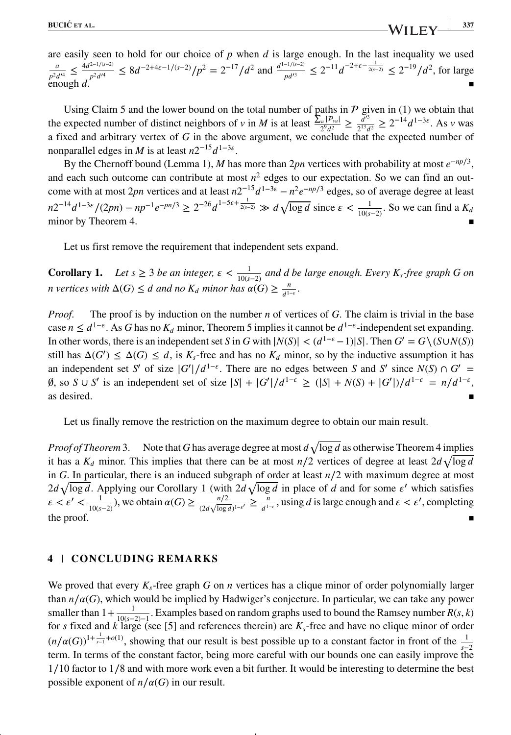are easily seen to hold for our choice of *p* when *d* is large enough. In the last inequality we used  $\frac{a}{p^2 d'^4} \leq \frac{4d^{2-1/(s-2)}}{p^2 d'^4} \leq 8d^{-2+4\epsilon-1/(s-2)}/p^2 = 2^{-17}/d^2$  and  $\frac{d^{1-1/(s-2)}}{p d'^3} \leq 2^{-11} d^{-2+\epsilon-\frac{1}{2(s-2)}} \leq 2^{-19}/d^2$ , for large enough  $d$ .

Using Claim 5 and the lower bound on the total number of paths in  $P$  given in (1) we obtain that the expected number of distinct neighbors of *v* in *M* is at least  $\frac{\sum_{u} |P_{vu}|}{2^{9}d^2} \ge \frac{d^{3}}{2^{13}d^2} \ge 2^{-14}d^{1-3\varepsilon}$ . As *v* was a fixed and arbitrary vertex of *G* in the above argument, we conclude that the expected number of nonparallel edges in *M* is at least  $n2^{-15}d^{1-3\varepsilon}$ .

By the Chernoff bound (Lemma 1), *M* has more than 2*pn* vertices with probability at most *e*<sup>−</sup>*np*∕3, and each such outcome can contribute at most  $n^2$  edges to our expectation. So we can find an outcome with at most 2*pn* vertices and at least  $n2^{-15}d^{1-3\varepsilon} - n^2e^{-np/3}$  edges, so of average degree at least  $n2^{-14}d^{1-3\varepsilon}/(2pn) - np^{-1}e^{-pn/3} \ge 2^{-26}d^{1-5\varepsilon + \frac{1}{2(s-2)}} \gg d\sqrt{\log d}$  since  $\varepsilon < \frac{1}{10(s-2)}$ . So we can find a  $K_d$ minor by Theorem 4.

Let us first remove the requirement that independent sets expand.

**Corollary 1.** Let  $s \geq 3$  be an integer,  $\epsilon < \frac{1}{10(s-2)}$  and d be large enough. Every  $K_s$ -free graph G on *n* vertices with  $\Delta(G) \leq d$  and no  $K_d$  minor has  $\alpha(G) \geq \frac{n}{d^{1-\epsilon}}$ .

*Proof.* The proof is by induction on the number *n* of vertices of *G*. The claim is trivial in the base case  $n \leq d^{1-\epsilon}$ . As *G* has no  $K_d$  minor, Theorem 5 implies it cannot be  $d^{1-\epsilon}$ -independent set expanding. In other words, there is an independent set *S* in *G* with  $|N(S)| < (d^{1-\epsilon}-1)|S|$ . Then  $G' = G \setminus (S \cup N(S))$ still has  $\Delta(G') \leq \Delta(G) \leq d$ , is  $K_s$ -free and has no  $K_d$  minor, so by the inductive assumption it has an independent set *<sup>S</sup>*′ of size <sup>|</sup>*G*′ <sup>|</sup>∕<sup>1</sup>−. There are no edges between *<sup>S</sup>* and *<sup>S</sup>*′ since *<sup>N</sup>*(*S*) ∩ *<sup>G</sup>*′ <sup>=</sup>  $\emptyset$ , so *S* ∪ *S'* is an independent set of size  $|S| + |G'|/d^{1-\epsilon} \ge (|S| + N(S) + |G'|)/d^{1-\epsilon} = n/d^{1-\epsilon}$ ,  $\blacksquare$  as desired.

Let us finally remove the restriction on the maximum degree to obtain our main result.

*Proof of Theorem* 3. Note that G has average degree at most  $d\sqrt{\log d}$  as otherwise Theorem 4 implies it has a  $K_d$  minor. This implies that there can be at most  $n/2$  vertices of degree at least  $2d\sqrt{\log d}$ in *G*. In particular, there is an induced subgraph of order at least *n*∕2 with maximum degree at most  $2d\sqrt{\log d}$ . Applying our Corollary 1 (with  $2d\sqrt{\log d}$  in place of *d* and for some  $\varepsilon'$  which satisfies  $\varepsilon < \varepsilon' < \frac{1}{10(s-2)}$ ), we obtain  $\alpha(G) \ge \frac{n/2}{(2d\sqrt{\log d})^{1-\varepsilon'}} \ge \frac{n}{d^{1-\varepsilon}}$ , using *d* is large enough and  $\varepsilon < \varepsilon'$ , completing the proof.  $\blacksquare$ 

### **4 CONCLUDING REMARKS**

We proved that every  $K_s$ -free graph *G* on *n* vertices has a clique minor of order polynomially larger than  $n/\alpha(G)$ , which would be implied by Hadwiger's conjecture. In particular, we can take any power smaller than  $1 + \frac{1}{10(s-2)-1}$ . Examples based on random graphs used to bound the Ramsey number *R*(*s*, *k*) for *s* fixed and *k* large (see [5] and references therein) are  $K_s$ -free and have no clique minor of order  $(n/\alpha(G))^{1+\frac{1}{s-1}+\alpha(1)}$ , showing that our result is best possible up to a constant factor in front of the  $\frac{1}{s-2}$ term. In terms of the constant factor, being more careful with our bounds one can easily improve the 1∕10 factor to 1∕8 and with more work even a bit further. It would be interesting to determine the best possible exponent of  $n/\alpha(G)$  in our result.